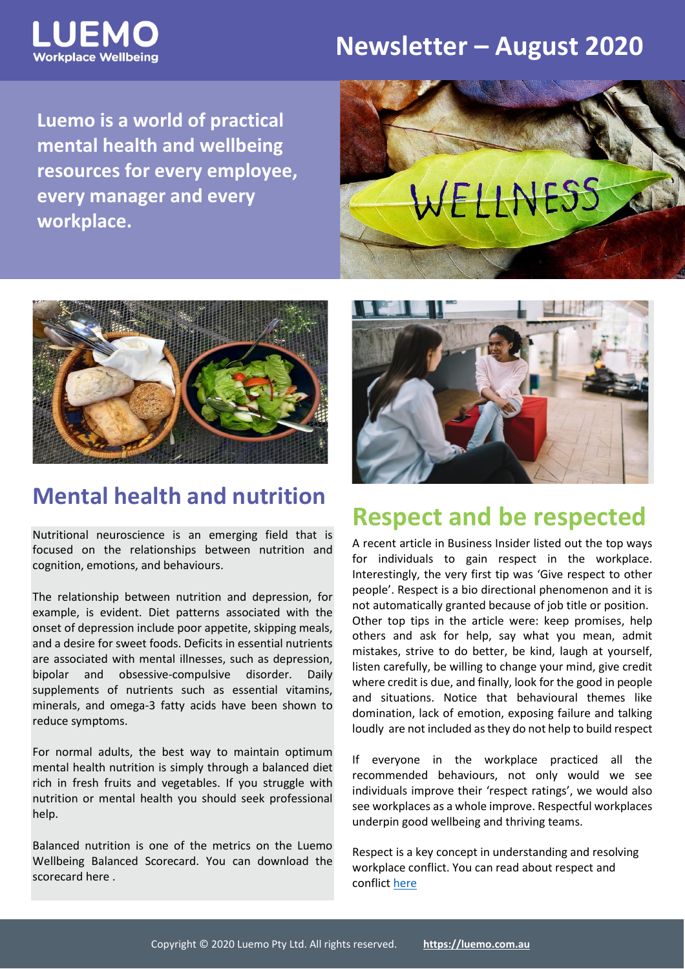

### **Newsletter – August 2020**

**Luemo is a world of practical mental health and wellbeing resources for every employee, every manager and every workplace.**





#### **Mental health and nutrition**

Nutritional neuroscience is an emerging field that is focused on the relationships between nutrition and cognition, emotions, and behaviours.

The relationship between nutrition and depression, for example, is evident. Diet patterns associated with the onset of depression include poor appetite, skipping meals, and a desire for sweet foods. Deficits in essential nutrients are associated with mental illnesses, such as depression, bipolar and obsessive-compulsive disorder. Daily supplements of nutrients such as essential vitamins, minerals, and omega-3 fatty acids have been shown to reduce symptoms.

For normal adults, the best way to maintain optimum mental health nutrition is simply through a balanced diet rich in fresh fruits and vegetables. If you struggle with nutrition or mental health you should seek professional help.

Balanced nutrition is one of the metrics on the Luemo Wellbeing Balanced Scorecard. You can download the scorecar[d here](https://luemo.com.au/resource/balancing-your-wellbeing-scorecard/) .



### **Respect and be respected**

A recent article in Business Insider listed out the top ways for individuals to gain respect in the workplace. Interestingly, the very first tip was 'Give respect to other people'. Respect is a bio directional phenomenon and it is not automatically granted because of job title or position. Other top tips in the article were: keep promises, help others and ask for help, say what you mean, admit mistakes, strive to do better, be kind, laugh at yourself, listen carefully, be willing to change your mind, give credit where credit is due, and finally, look for the good in people and situations. Notice that behavioural themes like domination, lack of emotion, exposing failure and talking loudly are not included as they do not help to build respect

If everyone in the workplace practiced all the recommended behaviours, not only would we see individuals improve their 'respect ratings', we would also see workplaces as a whole improve. Respectful workplaces underpin good wellbeing and thriving teams.

Respect is a key concept in understanding and resolving workplace conflict. You can read about respect and conflic[t here](https://luemo.com.au/resource/understanding-and-managing-conflict/)